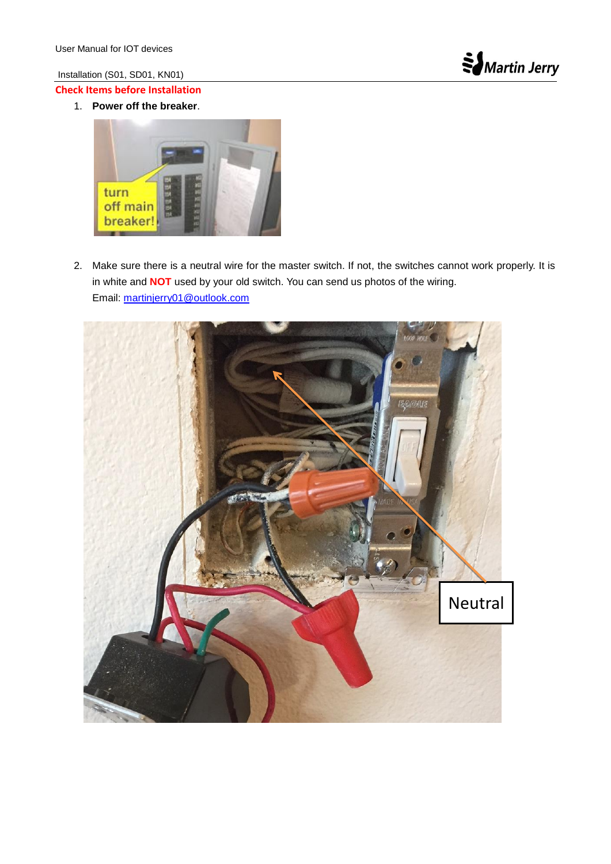Installation (S01, SD01, KN01)

## **Check Items before Installation**

1. **Power off the breaker**.



2. Make sure there is a neutral wire for the master switch. If not, the switches cannot work properly. It is in white and **NOT** used by your old switch. You can send us photos of the wiring. Email: [martinjerry01@outlook.com](mailto:martinjerry01@outlook.com)

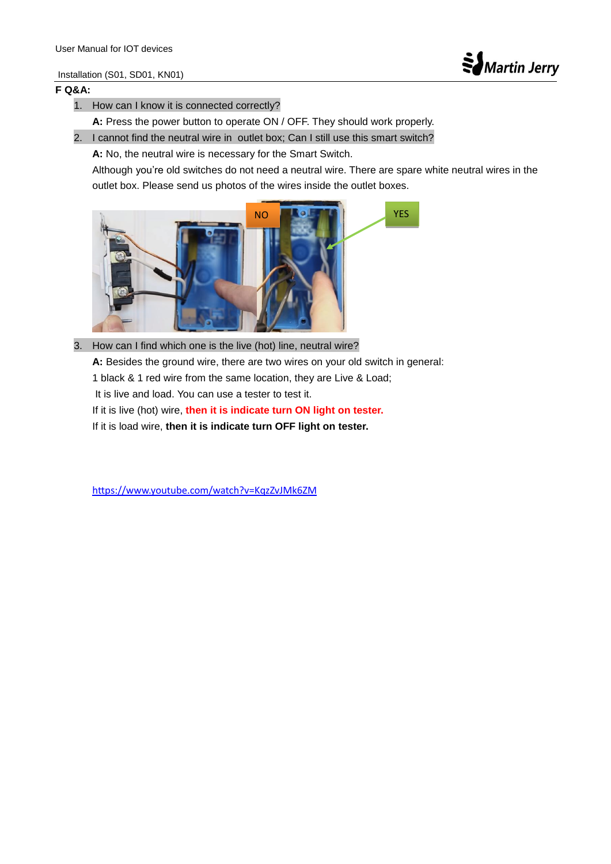## Installation (S01, SD01, KN01)



## **F Q&A:**

- 1. How can I know it is connected correctly?
	- **A:** Press the power button to operate ON / OFF. They should work properly.
- 2. I cannot find the neutral wire in outlet box; Can I still use this smart switch?
	- **A:** No, the neutral wire is necessary for the Smart Switch.

Although you're old switches do not need a neutral wire. There are spare white neutral wires in the outlet box. Please send us photos of the wires inside the outlet boxes.



3. How can I find which one is the live (hot) line, neutral wire? **A:** Besides the ground wire, there are two wires on your old switch in general: 1 black & 1 red wire from the same location, they are Live & Load; It is live and load. You can use a tester to test it. If it is live (hot) wire, **then it is indicate turn ON light on tester.** If it is load wire, **then it is indicate turn OFF light on tester.**

<https://www.youtube.com/watch?v=KqzZvJMk6ZM>